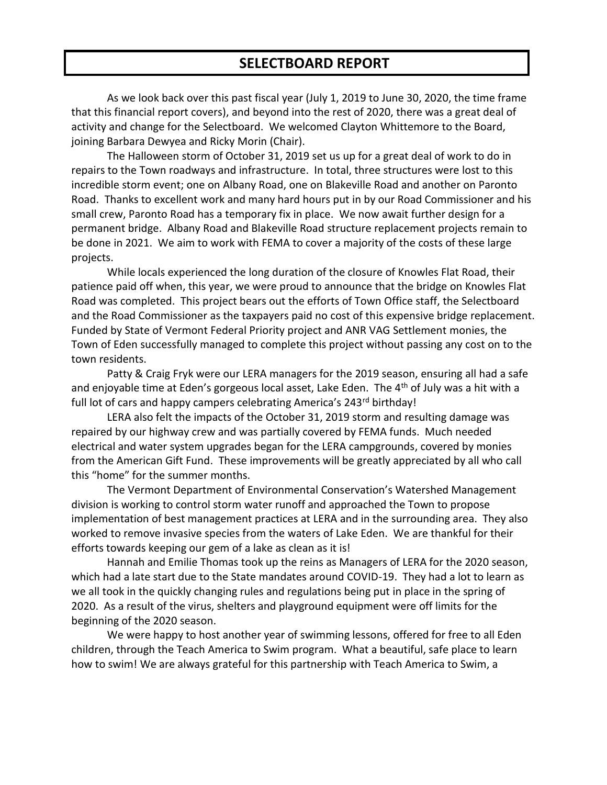## **SELECTBOARD REPORT**

As we look back over this past fiscal year (July 1, 2019 to June 30, 2020, the time frame that this financial report covers), and beyond into the rest of 2020, there was a great deal of activity and change for the Selectboard. We welcomed Clayton Whittemore to the Board, joining Barbara Dewyea and Ricky Morin (Chair).

The Halloween storm of October 31, 2019 set us up for a great deal of work to do in repairs to the Town roadways and infrastructure. In total, three structures were lost to this incredible storm event; one on Albany Road, one on Blakeville Road and another on Paronto Road. Thanks to excellent work and many hard hours put in by our Road Commissioner and his small crew, Paronto Road has a temporary fix in place. We now await further design for a permanent bridge. Albany Road and Blakeville Road structure replacement projects remain to be done in 2021. We aim to work with FEMA to cover a majority of the costs of these large projects.

While locals experienced the long duration of the closure of Knowles Flat Road, their patience paid off when, this year, we were proud to announce that the bridge on Knowles Flat Road was completed. This project bears out the efforts of Town Office staff, the Selectboard and the Road Commissioner as the taxpayers paid no cost of this expensive bridge replacement. Funded by State of Vermont Federal Priority project and ANR VAG Settlement monies, the Town of Eden successfully managed to complete this project without passing any cost on to the town residents.

Patty & Craig Fryk were our LERA managers for the 2019 season, ensuring all had a safe and enjoyable time at Eden's gorgeous local asset, Lake Eden. The 4<sup>th</sup> of July was a hit with a full lot of cars and happy campers celebrating America's 243<sup>rd</sup> birthday!

LERA also felt the impacts of the October 31, 2019 storm and resulting damage was repaired by our highway crew and was partially covered by FEMA funds. Much needed electrical and water system upgrades began for the LERA campgrounds, covered by monies from the American Gift Fund. These improvements will be greatly appreciated by all who call this "home" for the summer months.

The Vermont Department of Environmental Conservation's Watershed Management division is working to control storm water runoff and approached the Town to propose implementation of best management practices at LERA and in the surrounding area. They also worked to remove invasive species from the waters of Lake Eden. We are thankful for their efforts towards keeping our gem of a lake as clean as it is!

Hannah and Emilie Thomas took up the reins as Managers of LERA for the 2020 season, which had a late start due to the State mandates around COVID-19. They had a lot to learn as we all took in the quickly changing rules and regulations being put in place in the spring of 2020. As a result of the virus, shelters and playground equipment were off limits for the beginning of the 2020 season.

We were happy to host another year of swimming lessons, offered for free to all Eden children, through the Teach America to Swim program. What a beautiful, safe place to learn how to swim! We are always grateful for this partnership with Teach America to Swim, a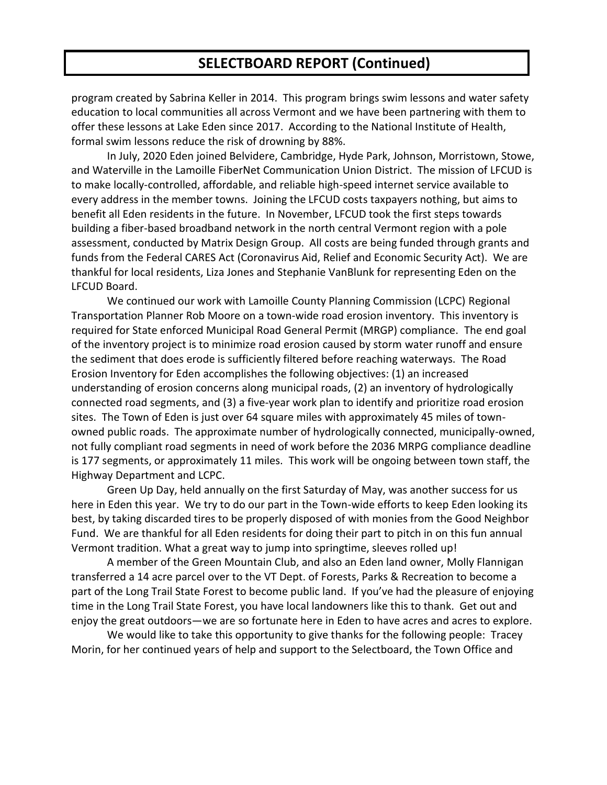## **SELECTBOARD REPORT (Continued)**

program created by Sabrina Keller in 2014. This program brings swim lessons and water safety education to local communities all across Vermont and we have been partnering with them to offer these lessons at Lake Eden since 2017. According to the National Institute of Health, formal swim lessons reduce the risk of drowning by 88%.

In July, 2020 Eden joined Belvidere, Cambridge, Hyde Park, Johnson, Morristown, Stowe, and Waterville in the Lamoille FiberNet Communication Union District. The mission of LFCUD is to make locally-controlled, affordable, and reliable high-speed internet service available to every address in the member towns. Joining the LFCUD costs taxpayers nothing, but aims to benefit all Eden residents in the future. In November, LFCUD took the first steps towards building a fiber-based broadband network in the north central Vermont region with a pole assessment, conducted by Matrix Design Group. All costs are being funded through grants and funds from the Federal CARES Act (Coronavirus Aid, Relief and Economic Security Act). We are thankful for local residents, Liza Jones and Stephanie VanBlunk for representing Eden on the LFCUD Board.

We continued our work with Lamoille County Planning Commission (LCPC) Regional Transportation Planner Rob Moore on a town-wide road erosion inventory. This inventory is required for State enforced Municipal Road General Permit (MRGP) compliance. The end goal of the inventory project is to minimize road erosion caused by storm water runoff and ensure the sediment that does erode is sufficiently filtered before reaching waterways. The Road Erosion Inventory for Eden accomplishes the following objectives: (1) an increased understanding of erosion concerns along municipal roads, (2) an inventory of hydrologically connected road segments, and (3) a five-year work plan to identify and prioritize road erosion sites. The Town of Eden is just over 64 square miles with approximately 45 miles of townowned public roads. The approximate number of hydrologically connected, municipally-owned, not fully compliant road segments in need of work before the 2036 MRPG compliance deadline is 177 segments, or approximately 11 miles. This work will be ongoing between town staff, the Highway Department and LCPC.

Green Up Day, held annually on the first Saturday of May, was another success for us here in Eden this year. We try to do our part in the Town-wide efforts to keep Eden looking its best, by taking discarded tires to be properly disposed of with monies from the Good Neighbor Fund. We are thankful for all Eden residents for doing their part to pitch in on this fun annual Vermont tradition. What a great way to jump into springtime, sleeves rolled up!

A member of the Green Mountain Club, and also an Eden land owner, Molly Flannigan transferred a 14 acre parcel over to the VT Dept. of Forests, Parks & Recreation to become a part of the Long Trail State Forest to become public land. If you've had the pleasure of enjoying time in the Long Trail State Forest, you have local landowners like this to thank. Get out and enjoy the great outdoors—we are so fortunate here in Eden to have acres and acres to explore.

We would like to take this opportunity to give thanks for the following people: Tracey Morin, for her continued years of help and support to the Selectboard, the Town Office and